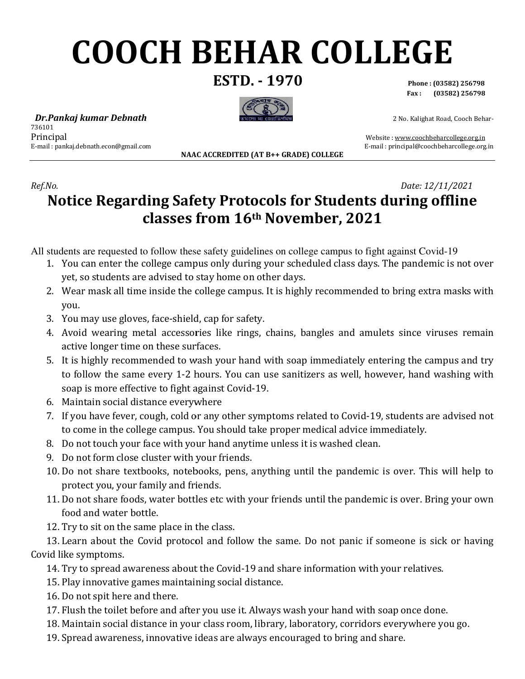# **COOCH BEHAR COLLEGE**

**ESTD. - 1970** 



**Phone : (03582) 256798 Fax : (03582) 256798** 

2 No. Kalighat Road, Cooch Behar-

 *Dr.Pankaj kumar Debnath* 736101 Principal E-mail : pankaj.debnath.econ@gmail.com

**NAAC ACCREDITED (AT B ACCREDITED (AT B++ GRADE) COLLEGE**  E-mail : principal@coochbeharcollege.org.in

Website : www.coochbeharcollege.org.in

#### *Ref.No.*  **Notice Regarding Safety Protocols for Students during offline during classes from 16 from 16th November, 2021**   *Date: 12/11/2021*

All students are requested to follow these safety guidelines on college campus to fight against Covid Covid-19

- 1. You can enter the college campus only during your scheduled class days. The pandemic is not over yet, so students are advised to stay home on other days.
- 2. Wear mask all time inside the college campus. It is highly recommended to bring extra masks with you.
- 3. You may use gloves, face-shield, cap for safety.
- 4. Avoid wearing metal accessories like rings, chains, bangles and amulets since viruses remain active longer time on these surfaces. Vear mask all time inside the college campus. It is highly recommended to bring extra masks with<br>ou.<br>ou may use gloves, face-shield, cap for safety.<br>void wearing metal accessories like rings, chains, bangles and amulets si
- 5. It is highly recommended to wash your hand with soap immediately entering the campus and try to follow the same every 1-2 hours. You can use sanitizers as well, however, hand washing with soap is more effective to fight against Covid Covid-19. ou can enter the college campus only during your scheduled class days. The pandemic is not conserve the college campus only during your scheduled class days. The pandemic is not collear mask all time inside the college cam
- 6. Maintain social distance everywhere
- 7. If you have fever, cough, cold or any other symptoms related to Covid-19, students are advised not to come in the college campus. You should take proper medical advice immediately.
- 8. Do not touch your face with your hand anytime unless it is washed clean.
- 9. Do not form close cluster with your friends.
- to come in the college campus. You should take proper medical advice immediately.<br>
10. Do not touch your face with your friends.<br>
10. Do not form close cluster with your friends.<br>
10. Do not share textbooks, notebooks, pen protect you, your family and friends.
- 11. Do not share foods, water bottles etc with your friends until the pandemic is over. Bring your own food and water bottle. family and friends.<br>The same place in the class.<br>Same place in the class.<br>Covid-protocol and follow the same. Do not panic if someone is sick<br>vareness about the Covid-19 and share information with your relatives.
- 12. Try to sit on the same place in the class.

13. Learn about the Covid protocol and follow the same. Do not panic if someone is sick or having Covid like symptoms.

14. Try to spread awareness about the Covid-19 and share information with your relatives.

- 15. Play innovative games maintaining social distance.
- 16. Do not spit here and there.
- 17. Flush the toilet before and after you use it. Always wash your hand with soap once done.
- 18. Maintain social distance in your class room, library, laboratory, corridors everywhere you go. before and after you use it. Always wash your hand with soap once done.<br>distance in your class room, library, laboratory, corridors everywhere you<br>ess, innovative ideas are always encouraged to bring and share.
- 19. Spread awareness, innovative ideas are al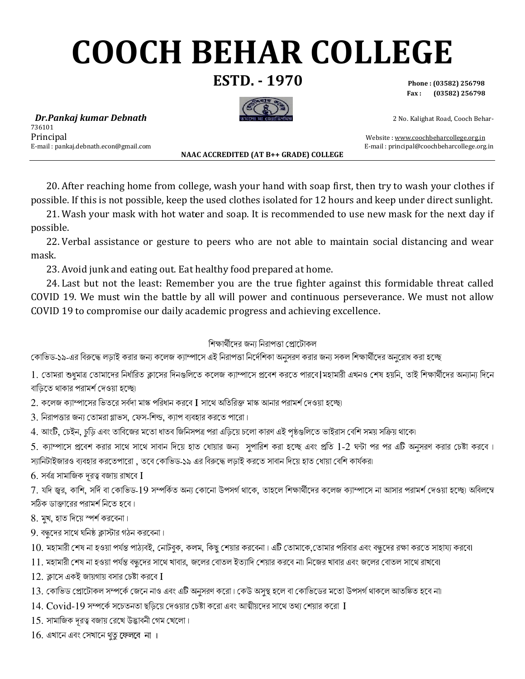## **COOCH BEHAR COLLEGE**

**ESTD. - 1970** 

Phone: (03582) 256798  $(03582)$  256798 Fax:

2 No. Kalighat Road, Cooch Behar-

Dr.Pankaj kumar Debnath 736101 Principal E-mail: pankaj.debnath.econ@gmail.com

NAAC ACCREDITED (AT B++ GRADE) COLLEGE

Website: www.coochbeharcollege.org.in E-mail: principal@coochbeharcollege.org.in

20. After reaching home from college, wash your hand with soap first, then try to wash your clothes if possible. If this is not possible, keep the used clothes isolated for 12 hours and keep under direct sunlight.

21. Wash your mask with hot water and soap. It is recommended to use new mask for the next day if possible.

22. Verbal assistance or gesture to peers who are not able to maintain social distancing and wear mask.

23. Avoid junk and eating out. Eat healthy food prepared at home.

24. Last but not the least: Remember you are the true fighter against this formidable threat called COVID 19. We must win the battle by all will power and continuous perseverance. We must not allow COVID 19 to compromise our daily academic progress and achieving excellence.

#### শিক্ষার্থীদের জন্য নিরাপত্তা প্রোটোকল

কোভিড-১৯-এর বিরুদ্ধে লড়াই করার জন্য কলেজ ক্যাম্পাসে এই নিরাপত্তা নির্দেশিকা অনুসরণ করার জন্য সকল শিক্ষার্থীদের অনুরোধ করা হচ্ছে

1. তোমরা শুধুমাত্র তোমাদের নির্ধারিত ক্লাসের দিনগুলিতে কলেজ ক্যাম্পাসে প্রবেশ করতে পারবে|মহামারী এখনও শেষ হয়নি, তাই শিক্ষার্থীদের অন্যান্য দিনে বাডিতে থাকার পরামর্শ দেওয়া হচ্ছো

2. কলেজ ক্যাম্পাসের ভিতরে সর্বদা মাস্ক পরিধান করবে I সাথে অতিরিক্ত মাস্ক আনার পরামর্শ দেওয়া হচ্ছো

 $3.$  নিরাপত্তার জন্য তোমরা গ্লাভস, ফেস-শিল্ড, ক্যাপ ব্যবহার করতে পারো।

4. আংটি, চেইন, চুড়ি এবং তাবিজের মতো ধাতব জিনিসপত্র পরা এড়িয়ে চলো কারণ এই পৃষ্ঠগুলিতে ভাইরাস বেশি সময় সক্রিয় থাকে৷

5. ক্যাম্পাসে প্রবেশ করার সাথে সাথে সাবান দিয়ে হাত ধোয়ার জন্য সুপারিশ করা হচ্ছে এবং প্রতি 1-2 ঘন্টা পর পর এটি অনুসরণ করার চেষ্টা করবে। স্যানিটাইজারও ব্যবহার করতেপারো , তবে কোভিড-১৯ এর বিরুদ্ধে লড়াই করতে সাবান দিয়ে হাত ধোয়া বেশি কার্যকরা

 $6.$  সর্বত্র সামাজিক দূরত্ব বজায় রাখবে  $I$ 

7. যদি জ্বর, কাশি, সর্দি বা কোভিড-19 সম্পর্কিত অন্য কোনো উপসর্গ থাকে, তাহলে শিক্ষার্থীদের কলেজ ক্যাম্পাসে না আসার পরামর্শ দেওয়া হচ্ছো অবিলম্বে সঠিক ডাক্তারের পরামর্শ নিতে হবে।

8. মুখ, হাত দিয়ে স্পর্শ করবেনা।

 $9.$  বন্ধুদের সাথে ঘনিষ্ঠ ক্লাস্টার গঠন করবেনা।

 $10$ . মহামারী শেষ না হওয়া পর্যন্ত পাঠ্যবই, নোটবুক, কলম, কিছু শেয়ার করবেনা। এটি তোমাকে,তোমার পরিবার এবং বন্ধদের রক্ষা করতে সাহায্য করবে।

- 11. মহামারী শেষ না হওয়া পর্যন্ত বন্ধুদের সাথে খাবার, জলের বোতল ইত্যাদি শেয়ার করবে না৷ নিজের খাবার এবং জলের বোতল সাথে রাখবো
- $12.$  ক্লাসে একই জায়গায় বসার চেষ্টা করবে  $\overline{\mathrm{I}}$
- $13$ . কোভিড প্রোটোকল সম্পর্কে জেনে নাও এবং এটি অনুসরণ করো। কেউ অসুস্থ হলে বা কোভিডের মতো উপসর্গ থাকলে আতঙ্কিত হবে না।
- $14.$   $\mathrm{Covid}$ - $19$  সম্পর্কে সচেতনতা ছড়িয়ে দেওয়ার চেষ্টা করো এবং আত্মীয়দের সাথে তথ্য শেয়ার করো  $\,\mathrm{I}$
- $15.$  সামাজিক দুরত্ব বজায় রেখে উদ্ভাবনী গেম খেলো।

 $16$ . এখানে এবং সেখানে থতু ফেলবে না ।